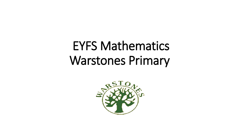# EYFS Mathematics Warstones Primary

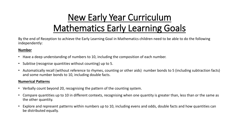# New Early Year Curriculum Mathematics Early Learning Goals

By the end of Reception to achieve the Early Learning Goal in Mathematics children need to be able to do the following independently:

#### **Number**

- Have a deep understanding of numbers to 10, including the composition of each number.
- Subitise (recognise quantities without counting) up to 5.
- Automatically recall (without reference to rhymes, counting or other aids) number bonds to 5 (including subtraction facts) and some number bonds to 10, including double facts.

#### **Numerical Patterns**

- Verbally count beyond 20, recognising the pattern of the counting system.
- Compare quantities up to 10 in different contexts, recognising when one quantity is greater than, less than or the same as the other quantity.
- Explore and represent patterns within numbers up to 10, including evens and odds, double facts and how quantities can be distributed equally.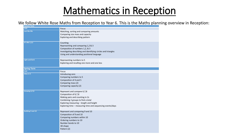# Mathematics in Reception

#### We follow White Rose Maths from Reception to Year 6. This is the Maths planning overview in Reception:

| <b>Autumn Term</b>    |                                                                |
|-----------------------|----------------------------------------------------------------|
| <b>Unit</b>           | <b>Focus</b>                                                   |
| <b>Just like Me</b>   | Matching, sorting and comparing amounts                        |
|                       | Comparing size mass and capacity                               |
|                       | Exploring and describing pattern                               |
|                       |                                                                |
| It's Me 1,2,3         | Counting                                                       |
|                       | Representing and comparing 1,2 & 3                             |
|                       | Composition of numbers 1,2, & 3                                |
|                       | Investigating describing and identifying circles and triangles |
|                       | Using and understanding positional language                    |
|                       |                                                                |
| <b>Light and Dark</b> | Representing numbers to 5                                      |
|                       | Exploring and recalling one more and one less                  |
|                       |                                                                |
| <b>Spring Term</b>    |                                                                |
| <b>Unit</b>           | <b>Focus</b>                                                   |
| Alive in 5            | Introducing zero                                               |
|                       | Comparing numbers to 5                                         |
|                       | Composition of 4 and 5                                         |
|                       | Comparing mass (2)                                             |
|                       | Comparing capacity (2)                                         |
|                       |                                                                |
| Growing 6,7,8         | Represent and compare 6,7,8                                    |
|                       | Composition of 6,7,8                                           |
|                       | Making pairs and counting in 2s                                |
|                       | Combining 2 groups to find a total                             |
|                       | Exploring measuring - length and height                        |
|                       | Exploring time - measuring time and sequencing events/days     |
|                       |                                                                |
| Building 9 and 10     | Represent and comparing 9 and 10                               |
|                       | Composition of 9 and 10                                        |
|                       | Comparing numbers within 10                                    |
|                       | Ordering numbers to 10                                         |
|                       | Number bonds to 10                                             |
|                       | 3D shape                                                       |
|                       |                                                                |
|                       | Pattern (2)                                                    |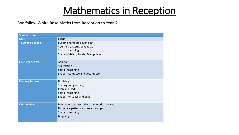# Mathematics in Reception

We follow White Rose Maths from Reception to Year 6

| <b>Summer Term</b>     |                                                                                                                       |
|------------------------|-----------------------------------------------------------------------------------------------------------------------|
| <b>Unit</b>            | <b>Focus</b>                                                                                                          |
| To 20 and Beyond       | Building numbers beyond 10<br>Counting patterns beyond 10<br>Spatial reasoning<br>Shape - Match, Rotate, Manipulate   |
| First, Then, Now       | Addition<br>Subtraction<br>Spatial reasoning<br>Shape – Compose and decompose                                         |
| <b>Find my Pattern</b> | Doubling<br>Sharing and grouping<br>Even and Odd<br>Spatial reasoning<br>Shape - visualise and build                  |
| <b>On the Move</b>     | Deepening understanding of numerical concepts<br>Numerical patterns and relationships<br>Spatial reasoning<br>Mapping |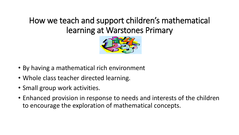## How we teach and support children's mathematical learning at Warstones Primary



- By having a mathematical rich environment
- Whole class teacher directed learning.
- Small group work activities.
- Enhanced provision in response to needs and interests of the children to encourage the exploration of mathematical concepts.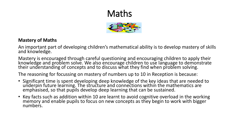# Maths



#### **Mastery of Maths**

An important part of developing children's mathematical ability is to develop mastery of skills and knowledge.

Mastery is encouraged through careful questioning and encouraging children to apply their knowledge and problem solve. We also encourage children to use language to demonstrate their understanding of concepts and to discuss what they find when problem solving.

The reasoning for focussing on mastery of numbers up to 10 in Reception is because:

- Significant time is spent developing deep knowledge of the key ideas that are needed to underpin future learning. The structure and connections within the mathematics are emphasised, so that pupils develop deep learning that can be sustained.
- Key facts such as addition within 10 are learnt to avoid cognitive overload in the working memory and enable pupils to focus on new concepts as they begin to work with bigger numbers.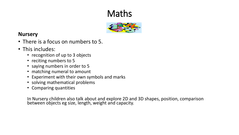# Maths



### **Nursery**

- There is a focus on numbers to 5.
- This includes:
	- recognition of up to 3 objects
	- reciting numbers to 5
	- saying numbers in order to 5
	- matching numeral to amount
	- Experiment with their own symbols and marks
	- solving mathematical problems
	- Comparing quantities

In Nursery children also talk about and explore 2D and 3D shapes, position, comparison between objects eg size, length, weight and capacity.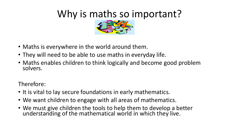# Why is maths so important?



- Maths is everywhere in the world around them.
- They will need to be able to use maths in everyday life.
- Maths enables children to think logically and become good problem solvers.

Therefore:

- It is vital to lay secure foundations in early mathematics.
- We want children to engage with all areas of mathematics.
- We must give children the tools to help them to develop a better understanding of the mathematical world in which they live.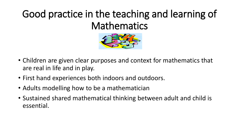# Good practice in the teaching and learning of Mathematics



- Children are given clear purposes and context for mathematics that are real in life and in play.
- First hand experiences both indoors and outdoors.
- Adults modelling how to be a mathematician
- Sustained shared mathematical thinking between adult and child is essential.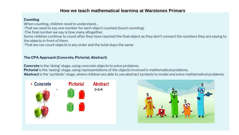#### **How we teach mathematical learning at Warstones Primary**

#### **Counting**

When counting, children need to understand…

•That we need to say one number for each object counted (touch counting).

•The final number we say is how many altogether.

Some children continue to count after they have reached the final object as they don't connect the numbers they are saying to the objects in front of them.

•That we can count objects in any order and the total stays the same

#### **The CPA Approach (Concrete, Pictorial, Abstract)**

**Concrete** is the 'doing' stage, using concrete objects to solve problems.

**Pictorial** is the 'seeing' stage, using representations of the objects involved in mathematical problems.

**Abstract** is the 'symbolic' stage, where children are able to use abstract symbols to model and solve mathematical problems.



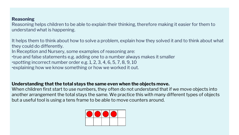## **Reasoning How we teach mathematical learning at Warstones Primary at Warstones Primary at Warstones Primary at Warstones Primary at Warstones Primary at Warstones Primary at Warstones Primary at Warstones Primary at War**

Reasoning helps children to be able to explain their thinking, therefore making it easier for them to understand what is happening.

It helps them to think about how to solve a problem, explain how they solved it and to think about what they could do differently.

In Reception and Nursery, some examples of reasoning are:

•true and false statements e.g. adding one to a number always makes it smaller

•spotting incorrect number order e.g. 1, 2, 3, 4, 6, 5, 7, 8, 9, 10

•explaining how we know something or how we worked it out.

#### **Understanding that the total stays the same even when the objects move.**

When children first start to use numbers, they often do not understand that if we move objects into another arrangement the total stays the same. We practice this with many different types of objects but a useful tool is using a tens frame to be able to move counters around.

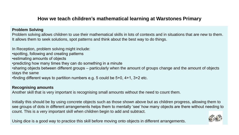### **How we teach children's mathematical learning at Warstones Primary**

#### **Problem Solving**

Problem solving allows children to use their mathematical skills in lots of contexts and in situations that are new to them. It allows them to seek solutions, spot patterns and think about the best way to do things.

In Reception, problem solving might include: •spotting, following and creating patterns •estimating amounts of objects •predicting how many times they can do something in a minute •sharing objects between different groups – particularly when the amount of groups change and the amount of objects stays the same •finding different ways to partition numbers e.g. 5 could be 5+0, 4+1, 3+2 etc.

#### **Recognising amounts**

Another skill that is very important is recognising small amounts without the need to count them.

Initially this should be by using concrete objects such as those shown above but as children progress, allowing them to see groups of dots in different arrangements helps them to mentally 'see' how many objects are there without needing to count. This is a very important skill when children begin to add and subtract.

Using dice is a good way to practice this skill before moving onto objects in different arrangements.

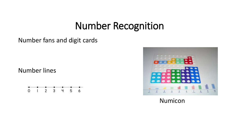# Number Recognition

## Number fans and digit cards

## Number lines





Numicon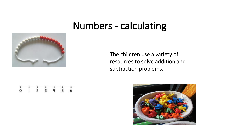# Numbers - calculating



The children use a variety of resources to solve addition and subtraction problems.



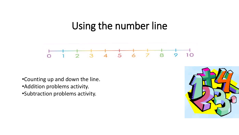# Using the number line



- •Counting up and down the line.
- •Addition problems activity.
- •Subtraction problems activity.

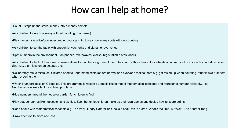# How can I help at home?

•Count – steps up the stairs, money into a money box etc.

•Ask children to say how many without counting (5 or fewer)

•Play games using dice/dominoes and encourage child to say how many spots without counting.

•Ask children to set the table with enough knives, forks and plates for everyone.

•Spot numbers in the environment – on phones, microwaves, clocks, registration plates, doors.

•Ask children to think of their own representations for numbers e.g. one of them, two hands, three bears, four wheels on a car, five toes, six sides on a dice, seven dwarves, eight legs on an octopus etc.

•Deliberately make mistakes. Children need to understand mistakes are normal and everyone makes them e.g. get mixed up when counting, muddle two numbers when ordering them.

•Watch Numberblocks on CBeebies. This programme is written by specialists to model mathematical concepts and represents number brilliantly. Also, Numberjacks is excellent for solving problems.

•Hide numbers around the house or garden for children to find.

•Play outdoor games like hopscotch and skittles. Even better, let children make up their own games and decide how to score points.

•Read books with mathematical concepts e.g. The Very Hungry Caterpillar, One is a snail, ten is a crab, What's the time, Mr Wolf? The doorbell rang.

•Draw attention to more and less.